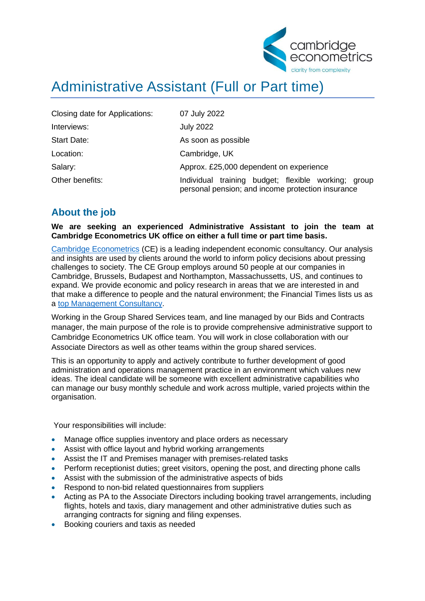

## Administrative Assistant (Full or Part time)

| Closing date for Applications: | 07 July 2022                                                                                                   |
|--------------------------------|----------------------------------------------------------------------------------------------------------------|
| Interviews:                    | <b>July 2022</b>                                                                                               |
| <b>Start Date:</b>             | As soon as possible                                                                                            |
| Location:                      | Cambridge, UK                                                                                                  |
| Salary:                        | Approx. £25,000 dependent on experience                                                                        |
| Other benefits:                | training<br>budget; flexible working; group<br>Individual<br>personal pension; and income protection insurance |

## **About the job**

**We are seeking an experienced Administrative Assistant to join the team at Cambridge Econometrics UK office on either a full time or part time basis.**

[Cambridge Econometrics](https://www.camecon.com/) (CE) is a leading independent economic consultancy. Our analysis and insights are used by clients around the world to inform policy decisions about pressing challenges to society. The CE Group employs around 50 people at our companies in Cambridge, Brussels, Budapest and Northampton, Massachussetts, US, and continues to expand. We provide economic and policy research in areas that we are interested in and that make a difference to people and the natural environment; the Financial Times lists us as a [top Management Consultancy.](https://www.ft.com/content/4b27d92e-3ba4-11ea-b232-000f4477fbca)

Working in the Group Shared Services team, and line managed by our Bids and Contracts manager, the main purpose of the role is to provide comprehensive administrative support to Cambridge Econometrics UK office team. You will work in close collaboration with our Associate Directors as well as other teams within the group shared services.

This is an opportunity to apply and actively contribute to further development of good administration and operations management practice in an environment which values new ideas. The ideal candidate will be someone with excellent administrative capabilities who can manage our busy monthly schedule and work across multiple, varied projects within the organisation.

Your responsibilities will include:

- Manage office supplies inventory and place orders as necessary
- Assist with office layout and hybrid working arrangements
- Assist the IT and Premises manager with premises-related tasks
- Perform receptionist duties; greet visitors, opening the post, and directing phone calls
- Assist with the submission of the administrative aspects of bids
- Respond to non-bid related questionnaires from suppliers
- Acting as PA to the Associate Directors including booking travel arrangements, including flights, hotels and taxis, diary management and other administrative duties such as arranging contracts for signing and filing expenses.
- Booking couriers and taxis as needed